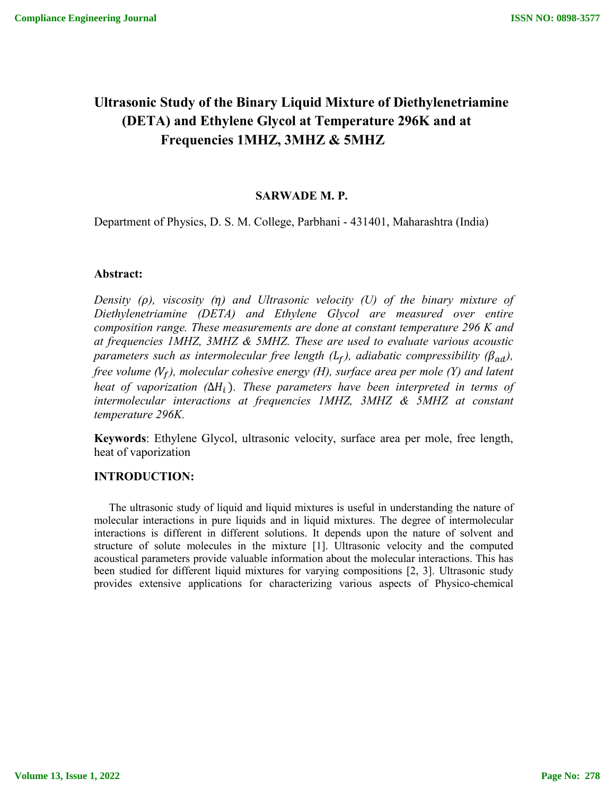# **Ultrasonic Study of the Binary Liquid Mixture of Diethylenetriamine (DETA) and Ethylene Glycol at Temperature 296K and at Frequencies 1MHZ, 3MHZ & 5MHZ**

# **SARWADE M. P.**

Department of Physics, D. S. M. College, Parbhani - 431401, Maharashtra (India)

# **Abstract:**

*Density (), viscosity () and Ultrasonic velocity (U) of the binary mixture of Diethylenetriamine (DETA) and Ethylene Glycol are measured over entire composition range. These measurements are done at constant temperature 296 K and at frequencies 1MHZ, 3MHZ & 5MHZ. These are used to evaluate various acoustic parameters such as intermolecular free length (L<sub>f</sub>), adiabatic compressibility (* $\beta_{ad}$ *), free volume*  $(V_f)$ *, molecular cohesive energy (H), surface area per mole (Y) and latent heat of vaporization (* $\Delta H_i$ *). These parameters have been interpreted in terms of intermolecular interactions at frequencies 1MHZ, 3MHZ & 5MHZ at constant temperature 296K.*

**Keywords**: Ethylene Glycol, ultrasonic velocity, surface area per mole, free length, heat of vaporization

#### **INTRODUCTION:**

 The ultrasonic study of liquid and liquid mixtures is useful in understanding the nature of molecular interactions in pure liquids and in liquid mixtures. The degree of intermolecular interactions is different in different solutions. It depends upon the nature of solvent and structure of solute molecules in the mixture [1]. Ultrasonic velocity and the computed acoustical parameters provide valuable information about the molecular interactions. This has been studied for different liquid mixtures for varying compositions [2, 3]. Ultrasonic study provides extensive applications for characterizing various aspects of Physico-chemical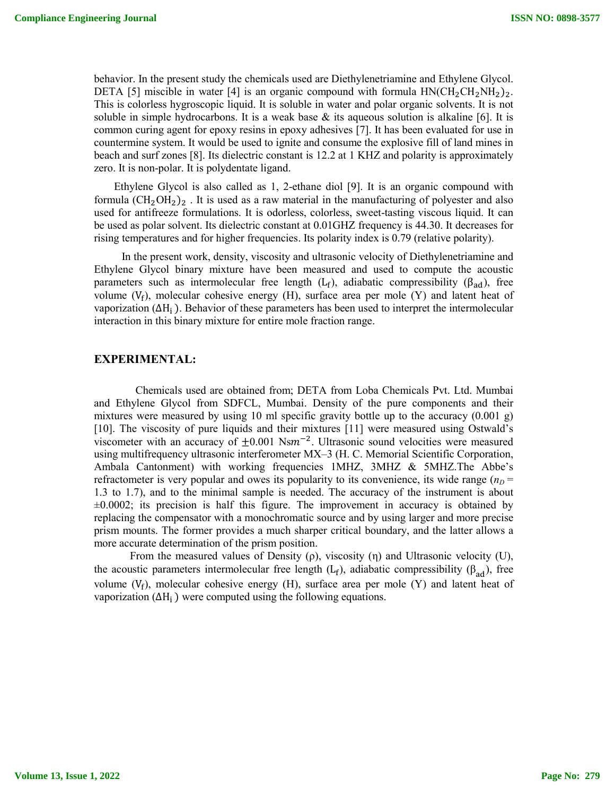behavior. In the present study the chemicals used are Diethylenetriamine and Ethylene Glycol. DETA [5] miscible in water [4] is an organic compound with formula  $HN(CH_2CH_2NH_2)_2$ . This is colorless hygroscopic liquid. It is soluble in water and polar organic solvents. It is not soluble in simple hydrocarbons. It is a weak base  $\&$  its aqueous solution is alkaline [6]. It is common curing agent for epoxy resins in epoxy adhesives [7]. It has been evaluated for use in countermine system. It would be used to ignite and consume the explosive fill of land mines in beach and surf zones [8]. Its dielectric constant is 12.2 at 1 KHZ and polarity is approximately zero. It is non-polar. It is polydentate ligand.

 Ethylene Glycol is also called as 1, 2-ethane diol [9]. It is an organic compound with formula  $(CH_2OH_2)_2$ . It is used as a raw material in the manufacturing of polyester and also used for antifreeze formulations. It is odorless, colorless, sweet-tasting viscous liquid. It can be used as polar solvent. Its dielectric constant at 0.01GHZ frequency is 44.30. It decreases for rising temperatures and for higher frequencies. Its polarity index is 0.79 (relative polarity).

 In the present work, density, viscosity and ultrasonic velocity of Diethylenetriamine and Ethylene Glycol binary mixture have been measured and used to compute the acoustic parameters such as intermolecular free length (L<sub>f</sub>), adiabatic compressibility ( $\beta_{ad}$ ), free volume  $(V_f)$ , molecular cohesive energy (H), surface area per mole (Y) and latent heat of vaporization ( $\Delta H_i$ ). Behavior of these parameters has been used to interpret the intermolecular interaction in this binary mixture for entire mole fraction range.

# **EXPERIMENTAL:**

 Chemicals used are obtained from; DETA from Loba Chemicals Pvt. Ltd. Mumbai and Ethylene Glycol from SDFCL, Mumbai. Density of the pure components and their mixtures were measured by using 10 ml specific gravity bottle up to the accuracy  $(0.001 \text{ g})$ [10]. The viscosity of pure liquids and their mixtures [11] were measured using Ostwald's viscometer with an accuracy of  $\pm 0.001$  Nsm<sup>-2</sup>. Ultrasonic sound velocities were measured using multifrequency ultrasonic interferometer MX–3 (H. C. Memorial Scientific Corporation, Ambala Cantonment) with working frequencies 1MHZ, 3MHZ & 5MHZ.The Abbe's refractometer is very popular and owes its popularity to its convenience, its wide range  $(n_D =$ 1.3 to 1.7), and to the minimal sample is needed. The accuracy of the instrument is about  $\pm 0.0002$ ; its precision is half this figure. The improvement in accuracy is obtained by replacing the compensator with a monochromatic source and by using larger and more precise prism mounts. The former provides a much sharper critical boundary, and the latter allows a more accurate determination of the prism position.

From the measured values of Density  $(\rho)$ , viscosity  $(\eta)$  and Ultrasonic velocity (U), the acoustic parameters intermolecular free length (L<sub>f</sub>), adiabatic compressibility ( $\beta_{ad}$ ), free volume  $(V_f)$ , molecular cohesive energy  $(H)$ , surface area per mole  $(Y)$  and latent heat of vaporization ( $\Delta H_i$ ) were computed using the following equations.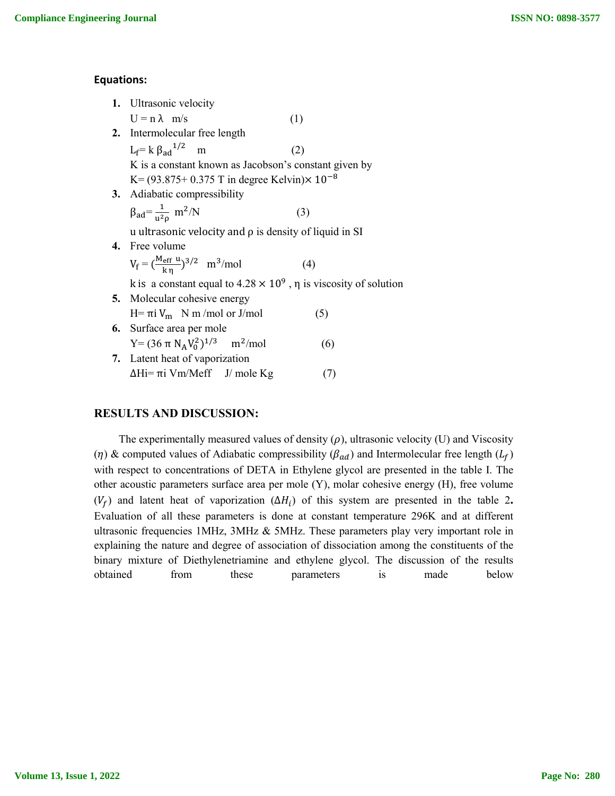#### **Equations:**

|    | 1. Ultrasonic velocity                                                        |     |  |  |  |  |  |
|----|-------------------------------------------------------------------------------|-----|--|--|--|--|--|
|    | $U = n \lambda$ m/s                                                           | (1) |  |  |  |  |  |
|    | 2. Intermolecular free length                                                 |     |  |  |  |  |  |
|    | $L_f = k \beta_{ad}^{1/2}$ m                                                  | (2) |  |  |  |  |  |
|    | K is a constant known as Jacobson's constant given by                         |     |  |  |  |  |  |
|    | K = $(93.875 + 0.375$ T in degree Kelvin) $\times$ 10 <sup>-8</sup>           |     |  |  |  |  |  |
|    | 3. Adiabatic compressibility                                                  |     |  |  |  |  |  |
|    | $\beta_{\rm ad} = \frac{1}{u^2 \rho}$ m <sup>2</sup> /N                       | (3) |  |  |  |  |  |
|    | u ultrasonic velocity and $\rho$ is density of liquid in SI                   |     |  |  |  |  |  |
|    | 4. Free volume                                                                |     |  |  |  |  |  |
|    | $V_f = (\frac{M_{eff} u}{k n})^{3/2}$ m <sup>3</sup> /mol                     | (4) |  |  |  |  |  |
|    | k is a constant equal to $4.28 \times 10^9$ , $\eta$ is viscosity of solution |     |  |  |  |  |  |
|    | <b>5.</b> Molecular cohesive energy                                           |     |  |  |  |  |  |
|    | H= πi V <sub>m</sub> N m/mol or J/mol                                         | (5) |  |  |  |  |  |
| 6. | Surface area per mole                                                         |     |  |  |  |  |  |
|    | $Y = (36 \pi N_A V_0^2)^{1/3}$ m <sup>2</sup> /mol                            | (6) |  |  |  |  |  |
|    | 7. Latent heat of vaporization                                                |     |  |  |  |  |  |
|    | $ΔHi=πi Vm/Meff$ J/ mole Kg                                                   | (7) |  |  |  |  |  |
|    |                                                                               |     |  |  |  |  |  |

# **RESULTS AND DISCUSSION:**

The experimentally measured values of density  $(\rho)$ , ultrasonic velocity (U) and Viscosity ( $\eta$ ) & computed values of Adiabatic compressibility ( $\beta_{ad}$ ) and Intermolecular free length ( $L_f$ ) with respect to concentrations of DETA in Ethylene glycol are presented in the table I. The other acoustic parameters surface area per mole (Y), molar cohesive energy (H), free volume ( $V_f$ ) and latent heat of vaporization ( $\Delta H_i$ ) of this system are presented in the table 2. Evaluation of all these parameters is done at constant temperature 296K and at different ultrasonic frequencies 1MHz, 3MHz & 5MHz. These parameters play very important role in explaining the nature and degree of association of dissociation among the constituents of the binary mixture of Diethylenetriamine and ethylene glycol. The discussion of the results obtained from these parameters is made below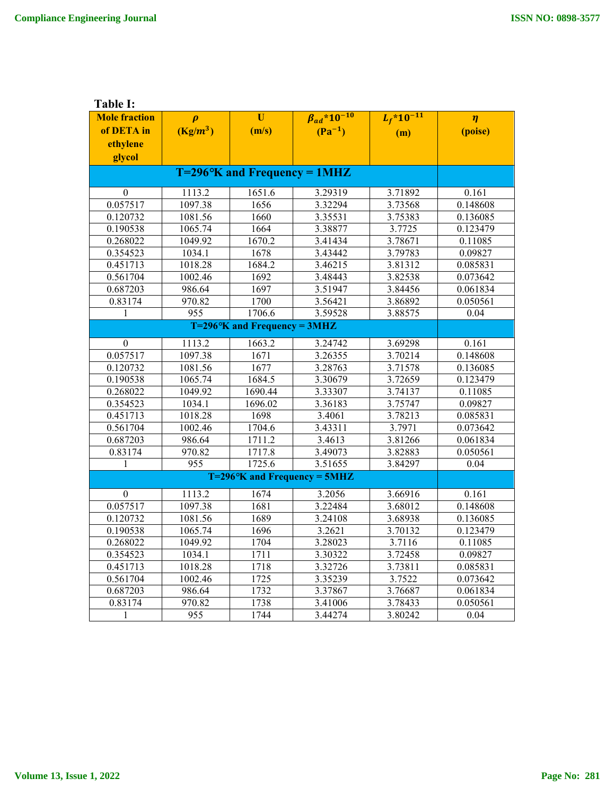**Table I:**

| <b>Mole fraction</b>  | $\boldsymbol{\rho}$ | $\mathbf{U}$ | $\beta_{ad}$ *10 <sup>-10</sup>                        | $L_f$ *10 <sup>-11</sup> | $\eta$                |
|-----------------------|---------------------|--------------|--------------------------------------------------------|--------------------------|-----------------------|
| of DETA in            | $(Kg/m^3)$          | (m/s)        | $(Pa^{-1})$                                            | (m)                      | (poise)               |
| ethylene              |                     |              |                                                        |                          |                       |
| glycol                |                     |              |                                                        |                          |                       |
|                       |                     |              |                                                        |                          |                       |
| $\theta$              | 1113.2              | 1651.6       | 3.29319                                                | 3.71892                  | 0.161                 |
| 0.057517              | 1097.38             | 1656         | 3.32294                                                | 3.73568                  | 0.148608              |
| 0.120732              | 1081.56             | 1660         | 3.35531                                                | 3.75383                  | 0.136085              |
| 0.190538              | 1065.74             | 1664         | 3.38877                                                | 3.7725                   | $0.12\overline{3479}$ |
| 0.268022              | 1049.92             | 1670.2       | 3.41434                                                | 3.78671                  | 0.11085               |
| 0.354523              | 1034.1              | 1678         | 3.43442                                                | 3.79783                  | 0.09827               |
| 0.451713              | 1018.28             | 1684.2       | 3.46215                                                | 3.81312                  | 0.085831              |
| 0.561704              | 1002.46             | 1692         | 3.48443                                                | 3.82538                  | 0.073642              |
| 0.687203              | 986.64              | 1697         | 3.51947                                                | 3.84456                  | 0.061834              |
| 0.83174               | 970.82              | 1700         | 3.56421                                                | 3.86892                  | 0.050561              |
| $\mathbf{1}$          | 955                 | 1706.6       | 3.59528                                                | 3.88575                  | 0.04                  |
|                       |                     |              |                                                        |                          |                       |
| $\boldsymbol{0}$      | 1113.2              | 1663.2       | 3.24742                                                | 3.69298                  | 0.161                 |
| 0.057517              | 1097.38             | 1671         | 3.26355                                                | 3.70214                  | 0.148608              |
| $0.\overline{120732}$ | 1081.56             | 1677         | 3.28763                                                | 3.71578                  | 0.136085              |
| 0.190538              | 1065.74             | 1684.5       | 3.30679                                                | 3.72659                  | 0.123479              |
| 0.268022              | 1049.92             | 1690.44      | 3.33307                                                | 3.74137                  | 0.11085               |
| 0.354523              | 1034.1              | 1696.02      | 3.36183                                                | 3.75747                  | 0.09827               |
| 0.451713              | 1018.28             | 1698         | 3.4061                                                 | 3.78213                  | 0.085831              |
| 0.561704              | 1002.46             | 1704.6       | 3.43311                                                | 3.7971                   | 0.073642              |
| 0.687203              | 986.64              | 1711.2       | 3.4613                                                 | 3.81266                  | 0.061834              |
| 0.83174               | 970.82              | 1717.8       | 3.49073                                                | 3.82883                  | 0.050561              |
| 1                     | $\overline{955}$    | 1725.6       | 3.51655<br>$T=296$ <sup>o</sup> K and Frequency = 5MHZ | 3.84297                  | $\overline{0.04}$     |
|                       |                     |              |                                                        |                          |                       |
| 0                     | 1113.2              | 1674         | 3.2056                                                 | 3.66916                  | 0.161                 |
| 0.057517              | 1097.38             | 1681         | 3.22484                                                | 3.68012                  | 0.148608              |
| 0.120732              | 1081.56             | 1689         | 3.24108                                                | 3.68938                  | 0.136085              |
| 0.190538              | 1065.74             | 1696         | 3.2621                                                 | 3.70132                  | 0.123479              |
| 0.268022              | 1049.92             | 1704         | 3.28023                                                | 3.7116                   | 0.11085               |
| 0.354523              | 1034.1              | 1711         | 3.30322                                                | 3.72458                  | 0.09827               |
| 0.451713              | 1018.28             | 1718         | 3.32726                                                | 3.73811                  | 0.085831              |
| 0.561704              | 1002.46             | 1725         | 3.35239                                                | 3.7522                   | 0.073642              |
| 0.687203              | 986.64              | 1732         | 3.37867                                                | 3.76687                  | 0.061834              |
| 0.83174               | 970.82              | 1738         | 3.41006                                                | 3.78433                  | 0.050561              |
| 1                     | 955                 | 1744         | 3.44274                                                | 3.80242                  | 0.04                  |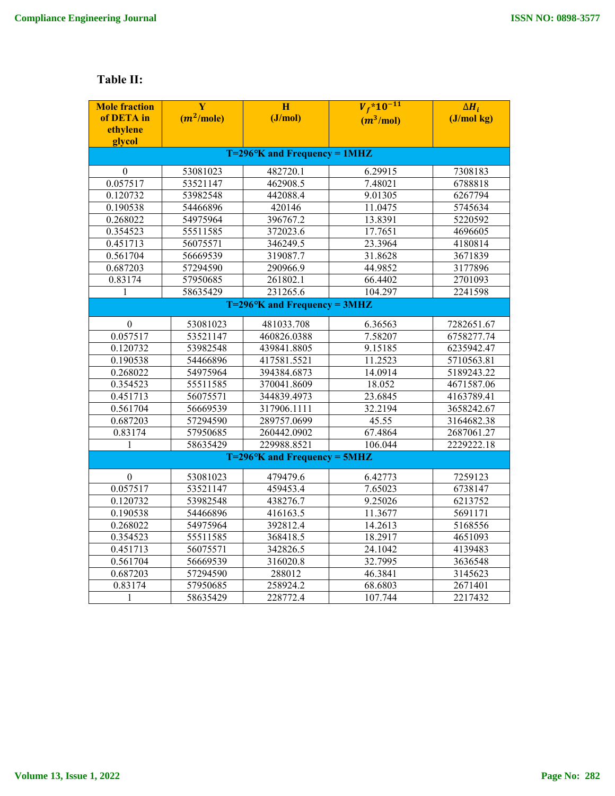# **Table II:**

| <b>Mole fraction</b>                  | Y            | H           | $V_f$ *10 <sup>-11</sup> | $\Delta H_i$ |  |  |  |  |  |
|---------------------------------------|--------------|-------------|--------------------------|--------------|--|--|--|--|--|
| of DETA in                            | $(m^2/mole)$ | (J/mol)     | $(m^3/mol)$              | (J/molkg)    |  |  |  |  |  |
| ethylene                              |              |             |                          |              |  |  |  |  |  |
| glycol                                |              |             |                          |              |  |  |  |  |  |
| $T=296\text{°K}$ and Frequency = 1MHZ |              |             |                          |              |  |  |  |  |  |
| $\mathbf{0}$                          | 53081023     | 482720.1    | 6.29915                  | 7308183      |  |  |  |  |  |
| 0.057517                              | 53521147     | 462908.5    | 7.48021                  | 6788818      |  |  |  |  |  |
| 0.120732                              | 53982548     | 442088.4    | 9.01305                  | 6267794      |  |  |  |  |  |
| 0.190538                              | 54466896     | 420146      | 11.0475                  | 5745634      |  |  |  |  |  |
| 0.268022                              | 54975964     | 396767.2    | 13.8391                  | 5220592      |  |  |  |  |  |
| 0.354523                              | 55511585     | 372023.6    | 17.7651                  | 4696605      |  |  |  |  |  |
| 0.451713                              | 56075571     | 346249.5    | 23.3964                  | 4180814      |  |  |  |  |  |
| 0.561704                              | 56669539     | 319087.7    | 31.8628                  | 3671839      |  |  |  |  |  |
| 0.687203                              | 57294590     | 290966.9    | 44.9852                  | 3177896      |  |  |  |  |  |
| 0.83174                               | 57950685     | 261802.1    | 66.4402                  | 2701093      |  |  |  |  |  |
| 1                                     | 58635429     | 231265.6    | 104.297                  | 2241598      |  |  |  |  |  |
| $T=296^\circ K$ and Frequency = 3MHZ  |              |             |                          |              |  |  |  |  |  |
| $\boldsymbol{0}$                      | 53081023     | 481033.708  | 6.36563                  | 7282651.67   |  |  |  |  |  |
| 0.057517                              | 53521147     | 460826.0388 | 7.58207                  | 6758277.74   |  |  |  |  |  |
| 0.120732                              | 53982548     | 439841.8805 | 9.15185                  | 6235942.47   |  |  |  |  |  |
| 0.190538                              | 54466896     | 417581.5521 | 11.2523                  | 5710563.81   |  |  |  |  |  |
| 0.268022                              | 54975964     | 394384.6873 | 14.0914                  | 5189243.22   |  |  |  |  |  |
| 0.354523                              | 55511585     | 370041.8609 | 18.052                   | 4671587.06   |  |  |  |  |  |
| 0.451713                              | 56075571     | 344839.4973 | 23.6845                  | 4163789.41   |  |  |  |  |  |
| 0.561704                              | 56669539     | 317906.1111 | 32.2194                  | 3658242.67   |  |  |  |  |  |
| 0.687203                              | 57294590     | 289757.0699 | 45.55                    | 3164682.38   |  |  |  |  |  |
| 0.83174                               | 57950685     | 260442.0902 | 67.4864                  | 2687061.27   |  |  |  |  |  |
| 1                                     | 58635429     | 229988.8521 | 106.044                  | 2229222.18   |  |  |  |  |  |
| $T=296^\circ K$ and Frequency = 5MHZ  |              |             |                          |              |  |  |  |  |  |
| $\boldsymbol{0}$                      | 53081023     | 479479.6    | 6.42773                  | 7259123      |  |  |  |  |  |
| 0.057517                              | 53521147     | 459453.4    | 7.65023                  | 6738147      |  |  |  |  |  |
| 0.120732                              | 53982548     | 438276.7    | 9.25026                  | 6213752      |  |  |  |  |  |
| 0.190538                              | 54466896     | 416163.5    | 11.3677                  | 5691171      |  |  |  |  |  |
| 0.268022                              | 54975964     | 392812.4    | 14.2613                  | 5168556      |  |  |  |  |  |
| 0.354523                              | 55511585     | 368418.5    | 18.2917                  | 4651093      |  |  |  |  |  |
| 0.451713                              | 56075571     | 342826.5    | 24.1042                  | 4139483      |  |  |  |  |  |
| 0.561704                              | 56669539     | 316020.8    | 32.7995                  | 3636548      |  |  |  |  |  |
| 0.687203                              | 57294590     | 288012      | 46.3841                  | 3145623      |  |  |  |  |  |
| 0.83174                               | 57950685     | 258924.2    | 68.6803                  | 2671401      |  |  |  |  |  |
| 1                                     | 58635429     | 228772.4    | 107.744                  | 2217432      |  |  |  |  |  |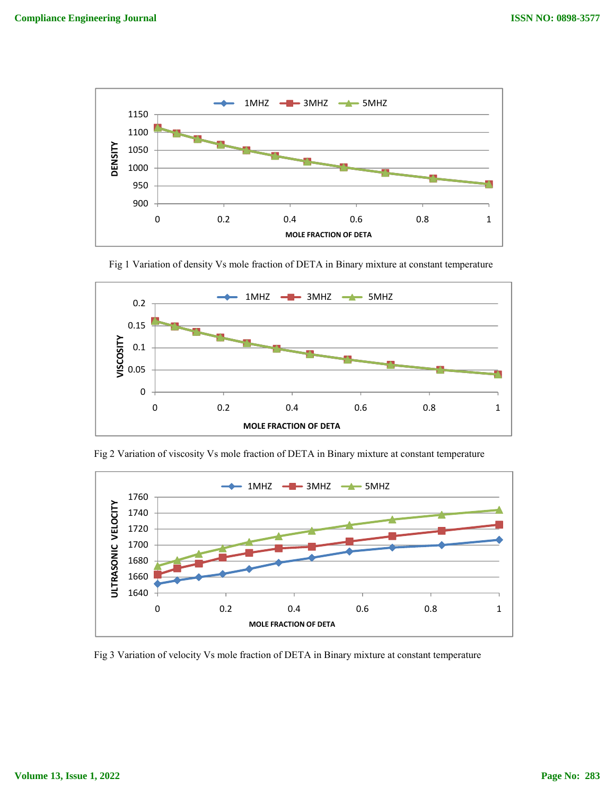



Fig 1 Variation of density Vs mole fraction of DETA in Binary mixture at constant temperature

Fig 2 Variation of viscosity Vs mole fraction of DETA in Binary mixture at constant temperature



Fig 3 Variation of velocity Vs mole fraction of DETA in Binary mixture at constant temperature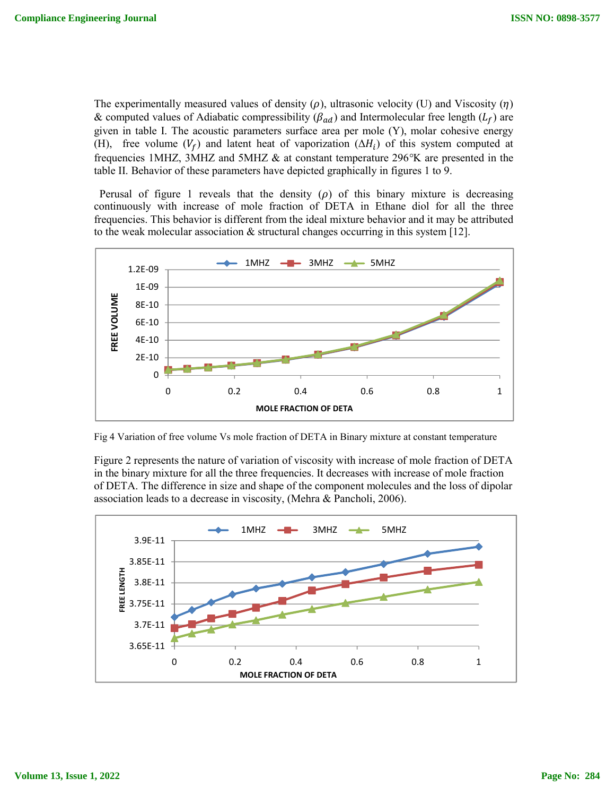The experimentally measured values of density  $(\rho)$ , ultrasonic velocity (U) and Viscosity  $(\eta)$ & computed values of Adiabatic compressibility ( $\beta_{ad}$ ) and Intermolecular free length ( $L_f$ ) are given in table I. The acoustic parameters surface area per mole (Y), molar cohesive energy (H), free volume  $(V_f)$  and latent heat of vaporization  $(\Delta H_i)$  of this system computed at frequencies 1MHZ, 3MHZ and 5MHZ & at constant temperature 296*°*K are presented in the table II. Behavior of these parameters have depicted graphically in figures 1 to 9.

Perusal of figure 1 reveals that the density  $(\rho)$  of this binary mixture is decreasing continuously with increase of mole fraction of DETA in Ethane diol for all the three frequencies. This behavior is different from the ideal mixture behavior and it may be attributed to the weak molecular association  $\&$  structural changes occurring in this system [12].



Fig 4 Variation of free volume Vs mole fraction of DETA in Binary mixture at constant temperature

Figure 2 represents the nature of variation of viscosity with increase of mole fraction of DETA in the binary mixture for all the three frequencies. It decreases with increase of mole fraction of DETA. The difference in size and shape of the component molecules and the loss of dipolar association leads to a decrease in viscosity, (Mehra & Pancholi, 2006).

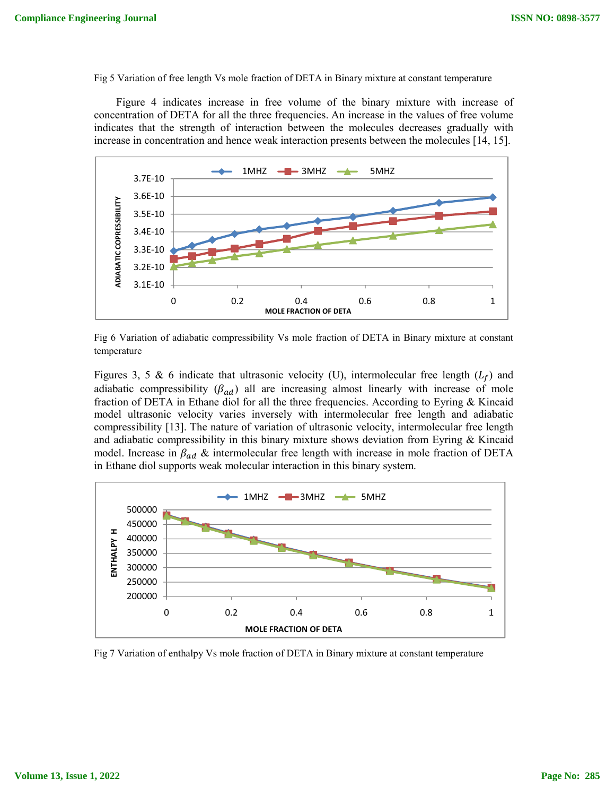Fig 5 Variation of free length Vs mole fraction of DETA in Binary mixture at constant temperature

 Figure 4 indicates increase in free volume of the binary mixture with increase of concentration of DETA for all the three frequencies. An increase in the values of free volume indicates that the strength of interaction between the molecules decreases gradually with increase in concentration and hence weak interaction presents between the molecules [14, 15].



Fig 6 Variation of adiabatic compressibility Vs mole fraction of DETA in Binary mixture at constant temperature

Figures 3, 5 & 6 indicate that ultrasonic velocity (U), intermolecular free length  $(L_f)$  and adiabatic compressibility  $(\beta_{ad})$  all are increasing almost linearly with increase of mole fraction of DETA in Ethane diol for all the three frequencies. According to Eyring & Kincaid model ultrasonic velocity varies inversely with intermolecular free length and adiabatic compressibility [13]. The nature of variation of ultrasonic velocity, intermolecular free length and adiabatic compressibility in this binary mixture shows deviation from Eyring & Kincaid model. Increase in  $\beta_{ad}$  & intermolecular free length with increase in mole fraction of DETA in Ethane diol supports weak molecular interaction in this binary system.



Fig 7 Variation of enthalpy Vs mole fraction of DETA in Binary mixture at constant temperature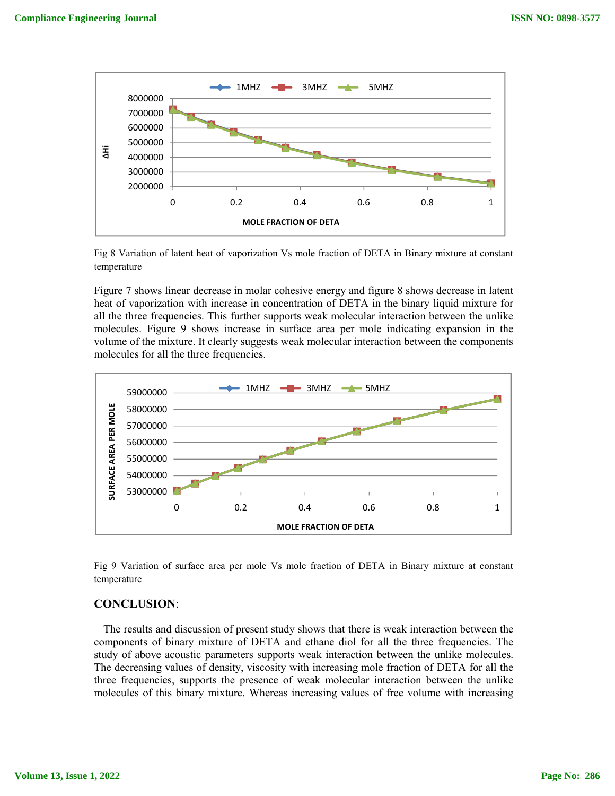

Fig 8 Variation of latent heat of vaporization Vs mole fraction of DETA in Binary mixture at constant temperature

Figure 7 shows linear decrease in molar cohesive energy and figure 8 shows decrease in latent heat of vaporization with increase in concentration of DETA in the binary liquid mixture for all the three frequencies. This further supports weak molecular interaction between the unlike molecules. Figure 9 shows increase in surface area per mole indicating expansion in the volume of the mixture. It clearly suggests weak molecular interaction between the components molecules for all the three frequencies.



Fig 9 Variation of surface area per mole Vs mole fraction of DETA in Binary mixture at constant temperature

# **CONCLUSION**:

 The results and discussion of present study shows that there is weak interaction between the components of binary mixture of DETA and ethane diol for all the three frequencies. The study of above acoustic parameters supports weak interaction between the unlike molecules. The decreasing values of density, viscosity with increasing mole fraction of DETA for all the three frequencies, supports the presence of weak molecular interaction between the unlike molecules of this binary mixture. Whereas increasing values of free volume with increasing